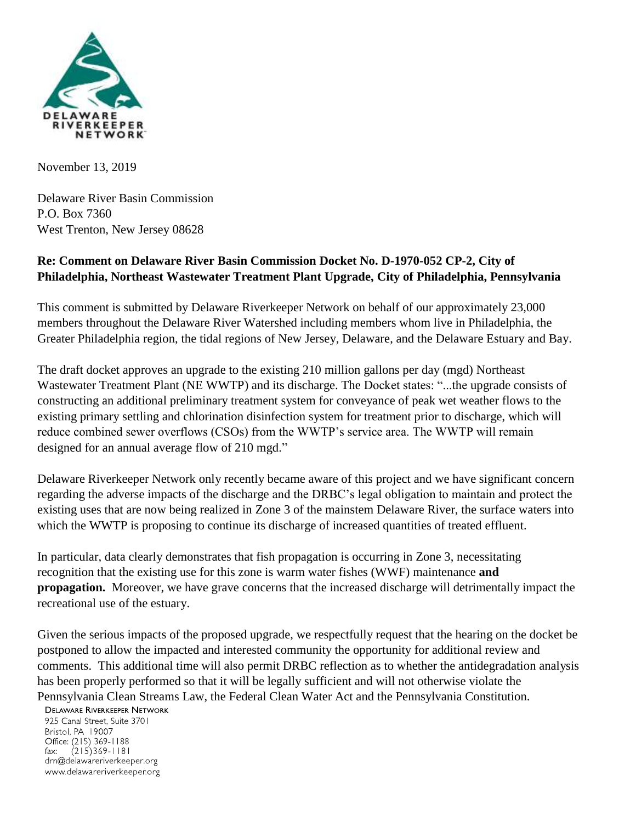

November 13, 2019

Delaware River Basin Commission P.O. Box 7360 West Trenton, New Jersey 08628

## **Re: Comment on Delaware River Basin Commission Docket No. D-1970-052 CP-2, City of Philadelphia, Northeast Wastewater Treatment Plant Upgrade, City of Philadelphia, Pennsylvania**

This comment is submitted by Delaware Riverkeeper Network on behalf of our approximately 23,000 members throughout the Delaware River Watershed including members whom live in Philadelphia, the Greater Philadelphia region, the tidal regions of New Jersey, Delaware, and the Delaware Estuary and Bay.

The draft docket approves an upgrade to the existing 210 million gallons per day (mgd) Northeast Wastewater Treatment Plant (NE WWTP) and its discharge. The Docket states: "...the upgrade consists of constructing an additional preliminary treatment system for conveyance of peak wet weather flows to the existing primary settling and chlorination disinfection system for treatment prior to discharge, which will reduce combined sewer overflows (CSOs) from the WWTP's service area. The WWTP will remain designed for an annual average flow of 210 mgd."

Delaware Riverkeeper Network only recently became aware of this project and we have significant concern regarding the adverse impacts of the discharge and the DRBC's legal obligation to maintain and protect the existing uses that are now being realized in Zone 3 of the mainstem Delaware River, the surface waters into which the WWTP is proposing to continue its discharge of increased quantities of treated effluent.

In particular, data clearly demonstrates that fish propagation is occurring in Zone 3, necessitating recognition that the existing use for this zone is warm water fishes (WWF) maintenance **and propagation.** Moreover, we have grave concerns that the increased discharge will detrimentally impact the recreational use of the estuary.

Given the serious impacts of the proposed upgrade, we respectfully request that the hearing on the docket be postponed to allow the impacted and interested community the opportunity for additional review and comments. This additional time will also permit DRBC reflection as to whether the antidegradation analysis has been properly performed so that it will be legally sufficient and will not otherwise violate the Pennsylvania Clean Streams Law, the Federal Clean Water Act and the Pennsylvania Constitution.

## **DELAWARE RIVERKEEPER NETWORK**

925 Canal Street, Suite 3701 Bristol, PA 19007 Office: (215) 369-1188  $(215)369 - 1181$  $\mathsf{fax:}$ drn@delawareriverkeeper.org www.delawareriverkeeper.org